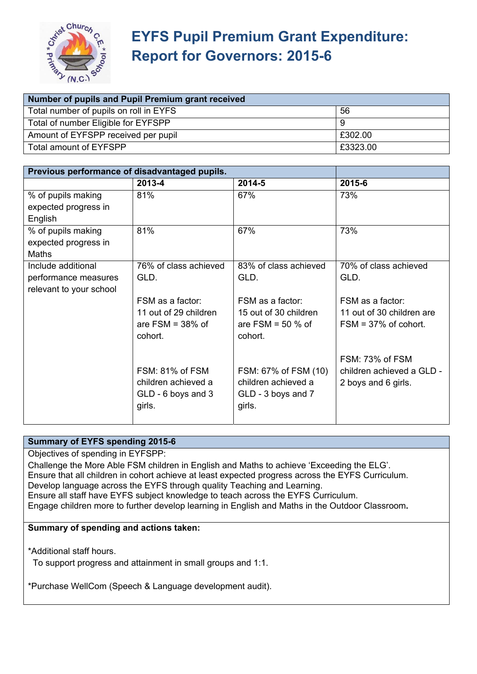

| Number of pupils and Pupil Premium grant received |          |  |
|---------------------------------------------------|----------|--|
| Total number of pupils on roll in EYFS            | 56       |  |
| Total of number Eligible for EYFSPP               |          |  |
| Amount of EYFSPP received per pupil               | £302.00  |  |
| Total amount of EYFSPP                            | £3323.00 |  |

| Previous performance of disadvantaged pupils. |                       |                       |                           |
|-----------------------------------------------|-----------------------|-----------------------|---------------------------|
|                                               | 2013-4                | 2014-5                | 2015-6                    |
| % of pupils making                            | 81%                   | 67%                   | 73%                       |
| expected progress in                          |                       |                       |                           |
| English                                       |                       |                       |                           |
| % of pupils making                            | 81%                   | 67%                   | 73%                       |
| expected progress in                          |                       |                       |                           |
| Maths                                         |                       |                       |                           |
| Include additional                            | 76% of class achieved | 83% of class achieved | 70% of class achieved     |
| performance measures                          | GLD.                  | GLD.                  | GLD.                      |
| relevant to your school                       |                       |                       |                           |
|                                               | FSM as a factor:      | FSM as a factor:      | FSM as a factor:          |
|                                               | 11 out of 29 children | 15 out of 30 children | 11 out of 30 children are |
|                                               | are $FSM = 38%$ of    | are FSM = $50%$ of    | $FSM = 37\%$ of cohort.   |
|                                               | cohort.               | cohort.               |                           |
|                                               |                       |                       |                           |
|                                               |                       |                       | FSM: 73% of FSM           |
|                                               | FSM: 81% of FSM       | FSM: 67% of FSM (10)  | children achieved a GLD - |
|                                               | children achieved a   | children achieved a   | 2 boys and 6 girls.       |
|                                               | GLD - 6 boys and 3    | GLD - 3 boys and 7    |                           |
|                                               | girls.                | girls.                |                           |
|                                               |                       |                       |                           |

### **Summary of EYFS spending 2015-6**

Objectives of spending in EYFSPP:

Challenge the More Able FSM children in English and Maths to achieve 'Exceeding the ELG'. Ensure that all children in cohort achieve at least expected progress across the EYFS Curriculum. Develop language across the EYFS through quality Teaching and Learning. Ensure all staff have EYFS subject knowledge to teach across the EYFS Curriculum. Engage children more to further develop learning in English and Maths in the Outdoor Classroom**.** 

#### **Summary of spending and actions taken:**

\*Additional staff hours.

To support progress and attainment in small groups and 1:1.

\*Purchase WellCom (Speech & Language development audit).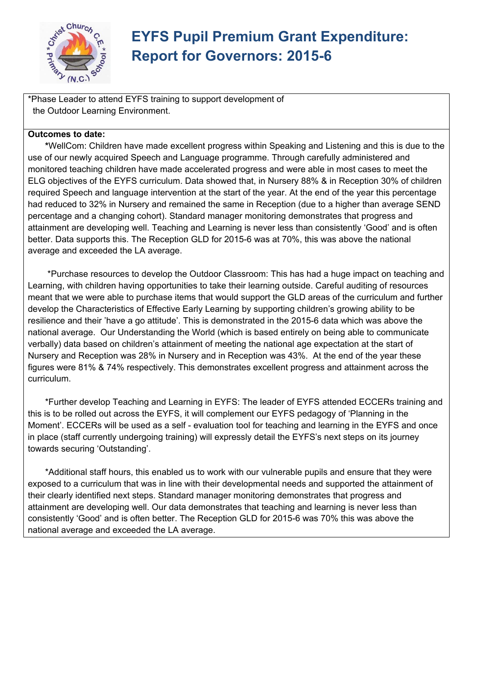

\*Phase Leader to attend EYFS training to support development of the Outdoor Learning Environment.

### **Outcomes to date:**

 **\***WellCom: Children have made excellent progress within Speaking and Listening and this is due to the use of our newly acquired Speech and Language programme. Through carefully administered and monitored teaching children have made accelerated progress and were able in most cases to meet the ELG objectives of the EYFS curriculum. Data showed that, in Nursery 88% & in Reception 30% of children required Speech and language intervention at the start of the year. At the end of the year this percentage had reduced to 32% in Nursery and remained the same in Reception (due to a higher than average SEND percentage and a changing cohort). Standard manager monitoring demonstrates that progress and attainment are developing well. Teaching and Learning is never less than consistently 'Good' and is often better. Data supports this. The Reception GLD for 2015-6 was at 70%, this was above the national average and exceeded the LA average.

 \*Purchase resources to develop the Outdoor Classroom: This has had a huge impact on teaching and Learning, with children having opportunities to take their learning outside. Careful auditing of resources meant that we were able to purchase items that would support the GLD areas of the curriculum and further develop the Characteristics of Effective Early Learning by supporting children's growing ability to be resilience and their 'have a go attitude'. This is demonstrated in the 2015-6 data which was above the national average. Our Understanding the World (which is based entirely on being able to communicate verbally) data based on children's attainment of meeting the national age expectation at the start of Nursery and Reception was 28% in Nursery and in Reception was 43%. At the end of the year these figures were 81% & 74% respectively. This demonstrates excellent progress and attainment across the curriculum.

 \*Further develop Teaching and Learning in EYFS: The leader of EYFS attended ECCERs training and this is to be rolled out across the EYFS, it will complement our EYFS pedagogy of 'Planning in the Moment'. ECCERs will be used as a self - evaluation tool for teaching and learning in the EYFS and once in place (staff currently undergoing training) will expressly detail the EYFS's next steps on its journey towards securing 'Outstanding'.

\*Additional staff hours, this enabled us to work with our vulnerable pupils and ensure that they were exposed to a curriculum that was in line with their developmental needs and supported the attainment of their clearly identified next steps. Standard manager monitoring demonstrates that progress and attainment are developing well. Our data demonstrates that teaching and learning is never less than consistently 'Good' and is often better. The Reception GLD for 2015-6 was 70% this was above the national average and exceeded the LA average.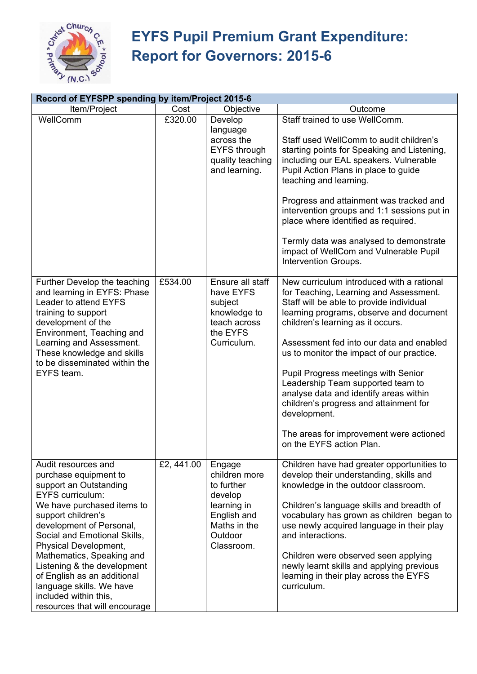

| Record of EYFSPP spending by item/Project 2015-6                                                                                                                                                                                                                                                                                                                                                                            |           |                                                                                                                         |                                                                                                                                                                                                                                                                                                                                                                                                                                                                                                                                                                 |
|-----------------------------------------------------------------------------------------------------------------------------------------------------------------------------------------------------------------------------------------------------------------------------------------------------------------------------------------------------------------------------------------------------------------------------|-----------|-------------------------------------------------------------------------------------------------------------------------|-----------------------------------------------------------------------------------------------------------------------------------------------------------------------------------------------------------------------------------------------------------------------------------------------------------------------------------------------------------------------------------------------------------------------------------------------------------------------------------------------------------------------------------------------------------------|
| Item/Project                                                                                                                                                                                                                                                                                                                                                                                                                | Cost      | Objective                                                                                                               | Outcome                                                                                                                                                                                                                                                                                                                                                                                                                                                                                                                                                         |
| WellComm                                                                                                                                                                                                                                                                                                                                                                                                                    | £320.00   | Develop<br>language<br>across the<br><b>EYFS through</b><br>quality teaching<br>and learning.                           | Staff trained to use WellComm.<br>Staff used WellComm to audit children's<br>starting points for Speaking and Listening,<br>including our EAL speakers. Vulnerable<br>Pupil Action Plans in place to guide<br>teaching and learning.<br>Progress and attainment was tracked and<br>intervention groups and 1:1 sessions put in<br>place where identified as required.<br>Termly data was analysed to demonstrate<br>impact of WellCom and Vulnerable Pupil<br>Intervention Groups.                                                                              |
| Further Develop the teaching<br>and learning in EYFS: Phase<br>Leader to attend EYFS<br>training to support<br>development of the<br>Environment, Teaching and<br>Learning and Assessment.<br>These knowledge and skills<br>to be disseminated within the<br>EYFS team.                                                                                                                                                     | £534.00   | Ensure all staff<br>have EYFS<br>subject<br>knowledge to<br>teach across<br>the EYFS<br>Curriculum.                     | New curriculum introduced with a rational<br>for Teaching, Learning and Assessment.<br>Staff will be able to provide individual<br>learning programs, observe and document<br>children's learning as it occurs.<br>Assessment fed into our data and enabled<br>us to monitor the impact of our practice.<br>Pupil Progress meetings with Senior<br>Leadership Team supported team to<br>analyse data and identify areas within<br>children's progress and attainment for<br>development.<br>The areas for improvement were actioned<br>on the EYFS action Plan. |
| Audit resources and<br>purchase equipment to<br>support an Outstanding<br><b>EYFS</b> curriculum:<br>We have purchased items to<br>support children's<br>development of Personal,<br>Social and Emotional Skills,<br>Physical Development,<br>Mathematics, Speaking and<br>Listening & the development<br>of English as an additional<br>language skills. We have<br>included within this,<br>resources that will encourage | £2,441.00 | Engage<br>children more<br>to further<br>develop<br>learning in<br>English and<br>Maths in the<br>Outdoor<br>Classroom. | Children have had greater opportunities to<br>develop their understanding, skills and<br>knowledge in the outdoor classroom.<br>Children's language skills and breadth of<br>vocabulary has grown as children began to<br>use newly acquired language in their play<br>and interactions.<br>Children were observed seen applying<br>newly learnt skills and applying previous<br>learning in their play across the EYFS<br>curriculum.                                                                                                                          |